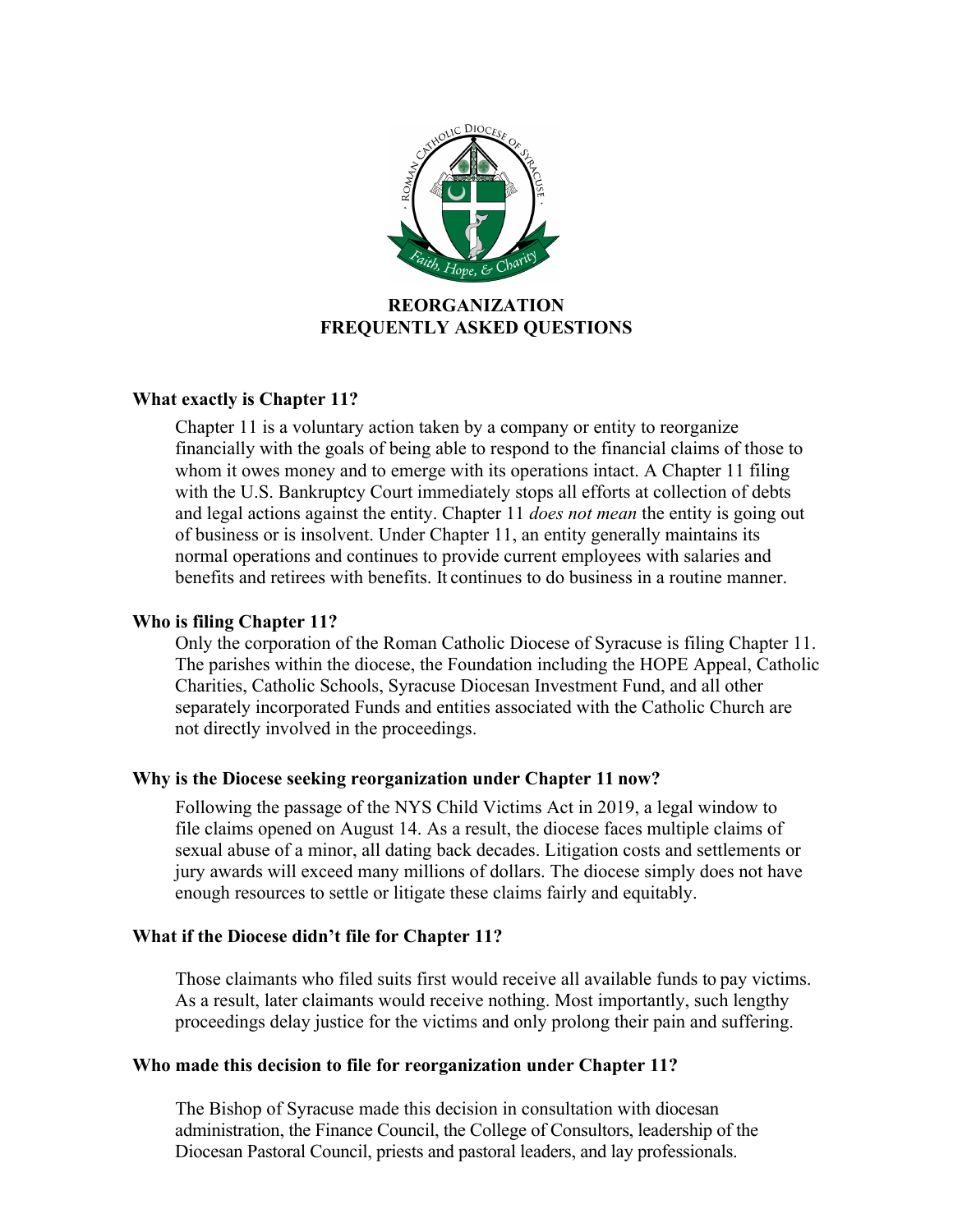

# **REORGANIZATION FREQUENTLY ASKED QUESTIONS**

# **What exactly is Chapter 11?**

Chapter 11 is a voluntary action taken by a company or entity to reorganize financially with the goals of being able to respond to the financial claims of those to whom it owes money and to emerge with its operations intact. A Chapter 11 filing with the U.S. Bankruptcy Court immediately stops all efforts at collection of debts and legal actions against the entity. Chapter 11 *does not mean* the entity is going out of business or is insolvent. Under Chapter 11, an entity generally maintains its normal operations and continues to provide current employees with salaries and benefits and retirees with benefits. It continues to do business in a routine manner.

# **Who is filing Chapter 11?**

Only the corporation of the Roman Catholic Diocese of Syracuse is filing Chapter 11. The parishes within the diocese, the Foundation including the HOPE Appeal, Catholic Charities, Catholic Schools, Syracuse Diocesan Investment Fund, and all other separately incorporated Funds and entities associated with the Catholic Church are not directly involved in the proceedings.

# **Why is the Diocese seeking reorganization under Chapter 11 now?**

Following the passage of the NYS Child Victims Act in 2019, a legal window to file claims opened on August 14. As a result, the diocese faces multiple claims of sexual abuse of a minor, all dating back decades. Litigation costs and settlements or jury awards will exceed many millions of dollars. The diocese simply does not have enough resources to settle or litigate these claims fairly and equitably.

# **What if the Diocese didn't file for Chapter 11?**

Those claimants who filed suits first would receive all available funds to pay victims. As a result, later claimants would receive nothing. Most importantly, such lengthy proceedings delay justice for the victims and only prolong their pain and suffering.

# **Who made this decision to file for reorganization under Chapter 11?**

The Bishop of Syracuse made this decision in consultation with diocesan administration, the Finance Council, the College of Consultors, leadership of the Diocesan Pastoral Council, priests and pastoral leaders, and lay professionals.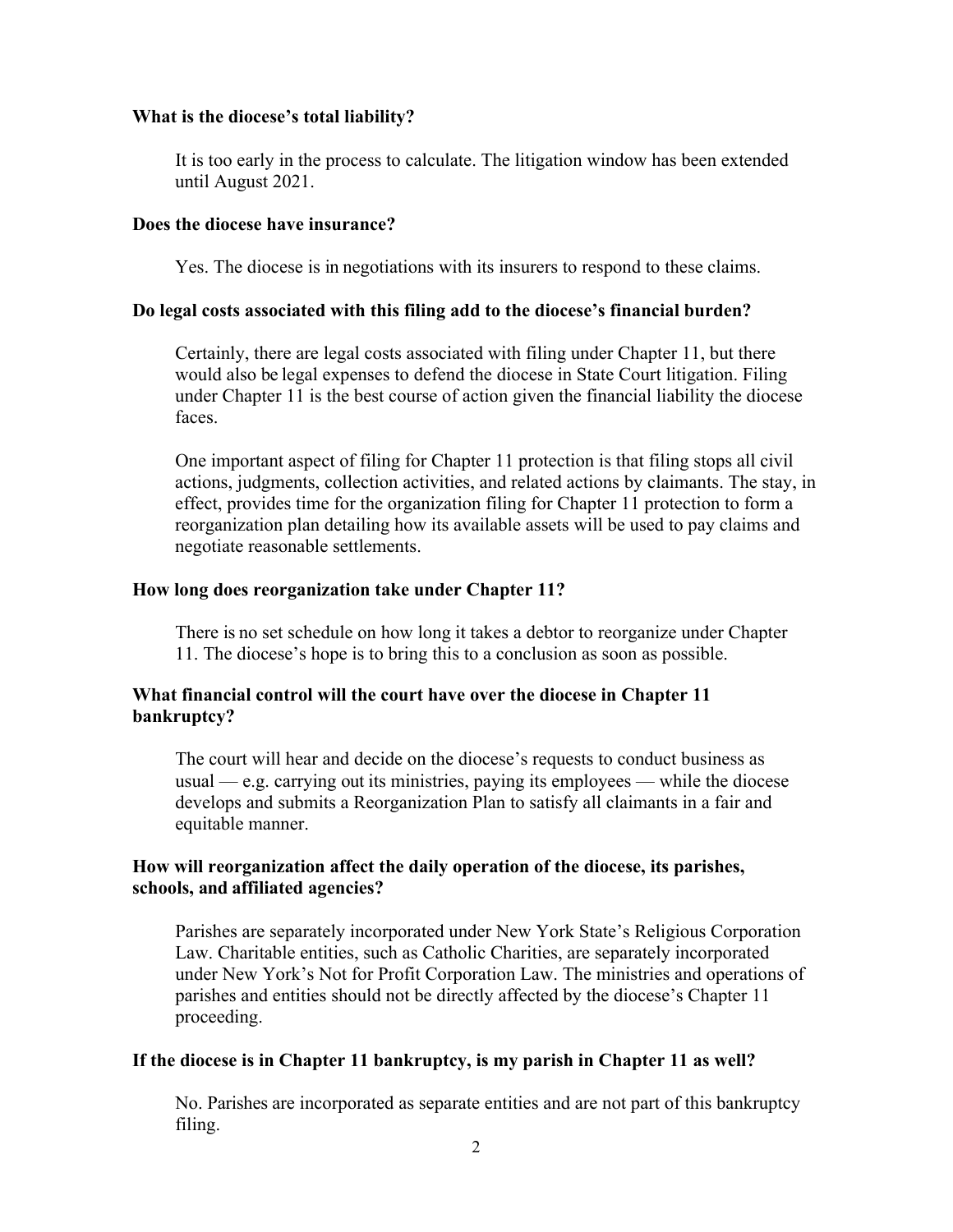## **What is the diocese's total liability?**

It is too early in the process to calculate. The litigation window has been extended until August 2021.

## **Does the diocese have insurance?**

Yes. The diocese is in negotiations with its insurers to respond to these claims.

## **Do legal costs associated with this filing add to the diocese's financial burden?**

Certainly, there are legal costs associated with filing under Chapter 11, but there would also be legal expenses to defend the diocese in State Court litigation. Filing under Chapter 11 is the best course of action given the financial liability the diocese faces.

One important aspect of filing for Chapter 11 protection is that filing stops all civil actions, judgments, collection activities, and related actions by claimants. The stay, in effect, provides time for the organization filing for Chapter 11 protection to form a reorganization plan detailing how its available assets will be used to pay claims and negotiate reasonable settlements.

# **How long does reorganization take under Chapter 11?**

There is no set schedule on how long it takes a debtor to reorganize under Chapter 11. The diocese's hope is to bring this to a conclusion as soon as possible.

# **What financial control will the court have over the diocese in Chapter 11 bankruptcy?**

The court will hear and decide on the diocese's requests to conduct business as usual — e.g. carrying out its ministries, paying its employees — while the diocese develops and submits a Reorganization Plan to satisfy all claimants in a fair and equitable manner.

# **How will reorganization affect the daily operation of the diocese, its parishes, schools, and affiliated agencies?**

Parishes are separately incorporated under New York State's Religious Corporation Law. Charitable entities, such as Catholic Charities, are separately incorporated under New York's Not for Profit Corporation Law. The ministries and operations of parishes and entities should not be directly affected by the diocese's Chapter 11 proceeding.

# **If the diocese is in Chapter 11 bankruptcy, is my parish in Chapter 11 as well?**

No. Parishes are incorporated as separate entities and are not part of this bankruptcy filing.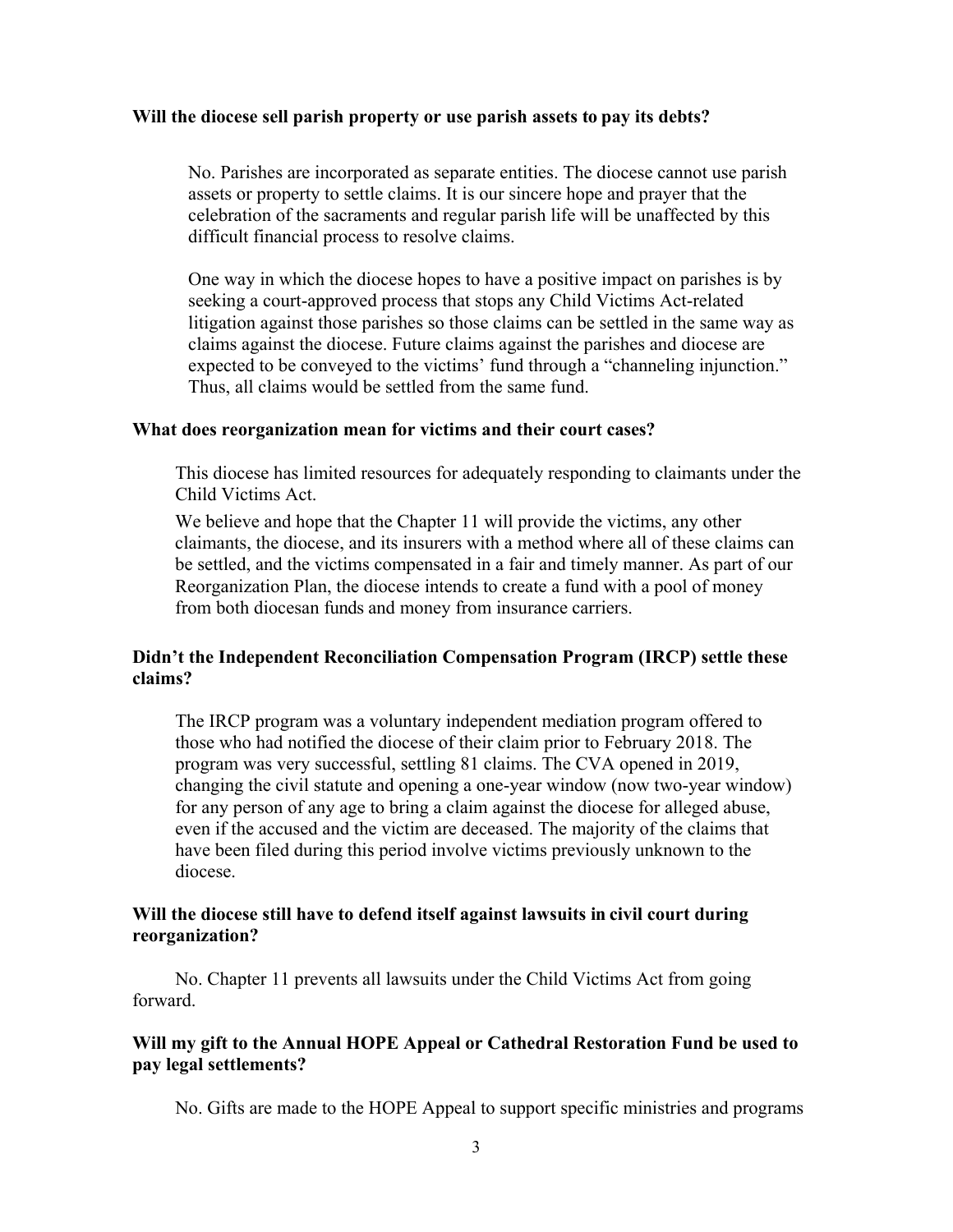#### **Will the diocese sell parish property or use parish assets to pay its debts?**

No. Parishes are incorporated as separate entities. The diocese cannot use parish assets or property to settle claims. It is our sincere hope and prayer that the celebration of the sacraments and regular parish life will be unaffected by this difficult financial process to resolve claims.

One way in which the diocese hopes to have a positive impact on parishes is by seeking a court-approved process that stops any Child Victims Act-related litigation against those parishes so those claims can be settled in the same way as claims against the diocese. Future claims against the parishes and diocese are expected to be conveyed to the victims' fund through a "channeling injunction." Thus, all claims would be settled from the same fund.

# **What does reorganization mean for victims and their court cases?**

This diocese has limited resources for adequately responding to claimants under the Child Victims Act.

We believe and hope that the Chapter 11 will provide the victims, any other claimants, the diocese, and its insurers with a method where all of these claims can be settled, and the victims compensated in a fair and timely manner. As part of our Reorganization Plan, the diocese intends to create a fund with a pool of money from both diocesan funds and money from insurance carriers.

# **Didn't the Independent Reconciliation Compensation Program (IRCP) settle these claims?**

The IRCP program was a voluntary independent mediation program offered to those who had notified the diocese of their claim prior to February 2018. The program was very successful, settling 81 claims. The CVA opened in 2019, changing the civil statute and opening a one-year window (now two-year window) for any person of any age to bring a claim against the diocese for alleged abuse, even if the accused and the victim are deceased. The majority of the claims that have been filed during this period involve victims previously unknown to the diocese.

## **Will the diocese still have to defend itself against lawsuits in civil court during reorganization?**

No. Chapter 11 prevents all lawsuits under the Child Victims Act from going forward.

# **Will my gift to the Annual HOPE Appeal or Cathedral Restoration Fund be used to pay legal settlements?**

No. Gifts are made to the HOPE Appeal to support specific ministries and programs